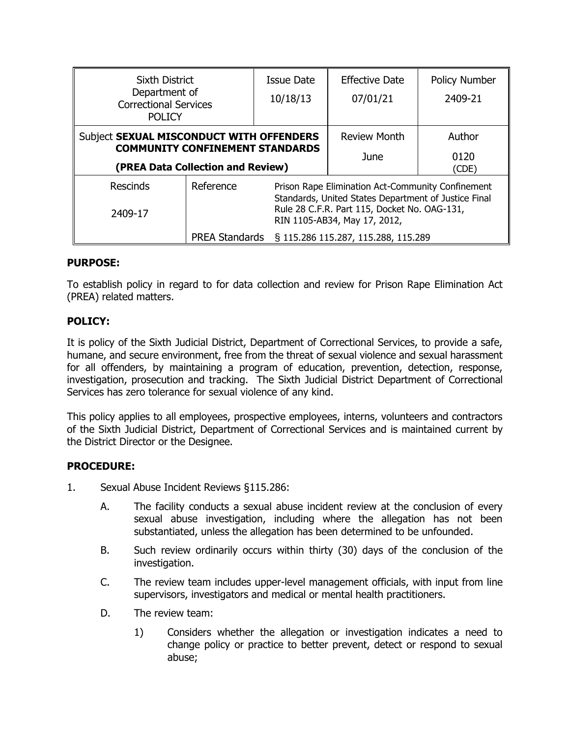| <b>Sixth District</b><br>Department of<br><b>Correctional Services</b>                                                  |                                                              | Issue Date                                                                                                                                                                                | <b>Effective Date</b> | Policy Number |
|-------------------------------------------------------------------------------------------------------------------------|--------------------------------------------------------------|-------------------------------------------------------------------------------------------------------------------------------------------------------------------------------------------|-----------------------|---------------|
|                                                                                                                         |                                                              | 10/18/13                                                                                                                                                                                  | 07/01/21              | 2409-21       |
| <b>POLICY</b>                                                                                                           |                                                              |                                                                                                                                                                                           |                       |               |
| Subject SEXUAL MISCONDUCT WITH OFFENDERS<br><b>COMMUNITY CONFINEMENT STANDARDS</b><br>(PREA Data Collection and Review) |                                                              |                                                                                                                                                                                           | <b>Review Month</b>   | Author        |
|                                                                                                                         |                                                              |                                                                                                                                                                                           | <b>June</b>           | 0120<br>(CDE) |
| <b>Rescinds</b>                                                                                                         | Reference                                                    | Prison Rape Elimination Act-Community Confinement<br>Standards, United States Department of Justice Final<br>Rule 28 C.F.R. Part 115, Docket No. OAG-131,<br>RIN 1105-AB34, May 17, 2012, |                       |               |
| 2409-17                                                                                                                 |                                                              |                                                                                                                                                                                           |                       |               |
|                                                                                                                         | § 115.286 115.287, 115.288, 115.289<br><b>PREA Standards</b> |                                                                                                                                                                                           |                       |               |

## **PURPOSE:**

To establish policy in regard to for data collection and review for Prison Rape Elimination Act (PREA) related matters.

## **POLICY:**

It is policy of the Sixth Judicial District, Department of Correctional Services, to provide a safe, humane, and secure environment, free from the threat of sexual violence and sexual harassment for all offenders, by maintaining a program of education, prevention, detection, response, investigation, prosecution and tracking. The Sixth Judicial District Department of Correctional Services has zero tolerance for sexual violence of any kind.

This policy applies to all employees, prospective employees, interns, volunteers and contractors of the Sixth Judicial District, Department of Correctional Services and is maintained current by the District Director or the Designee.

## **PROCEDURE:**

- 1. Sexual Abuse Incident Reviews §115.286:
	- A. The facility conducts a sexual abuse incident review at the conclusion of every sexual abuse investigation, including where the allegation has not been substantiated, unless the allegation has been determined to be unfounded.
	- B. Such review ordinarily occurs within thirty (30) days of the conclusion of the investigation.
	- C. The review team includes upper-level management officials, with input from line supervisors, investigators and medical or mental health practitioners.
	- D. The review team:
		- 1) Considers whether the allegation or investigation indicates a need to change policy or practice to better prevent, detect or respond to sexual abuse;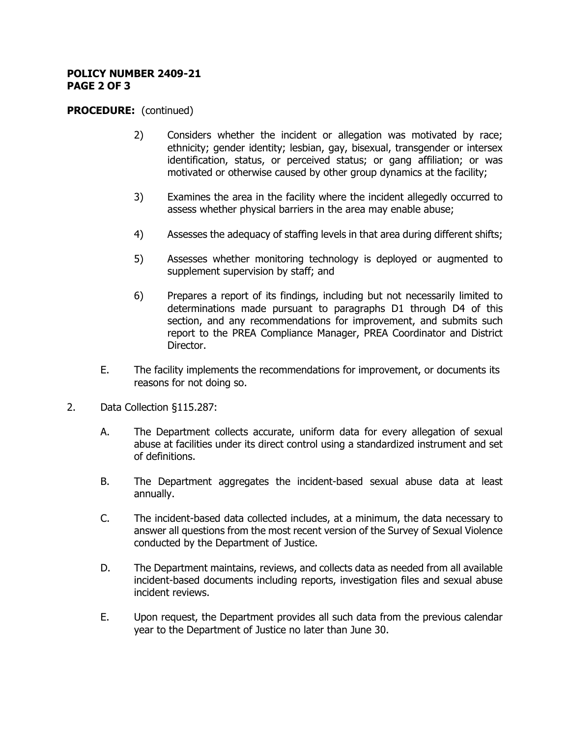#### **POLICY NUMBER 2409-21 PAGE 2 OF 3**

### **PROCEDURE:** (continued)

- 2) Considers whether the incident or allegation was motivated by race; ethnicity; gender identity; lesbian, gay, bisexual, transgender or intersex identification, status, or perceived status; or gang affiliation; or was motivated or otherwise caused by other group dynamics at the facility;
- 3) Examines the area in the facility where the incident allegedly occurred to assess whether physical barriers in the area may enable abuse;
- 4) Assesses the adequacy of staffing levels in that area during different shifts;
- 5) Assesses whether monitoring technology is deployed or augmented to supplement supervision by staff; and
- 6) Prepares a report of its findings, including but not necessarily limited to determinations made pursuant to paragraphs D1 through D4 of this section, and any recommendations for improvement, and submits such report to the PREA Compliance Manager, PREA Coordinator and District Director.
- E. The facility implements the recommendations for improvement, or documents its reasons for not doing so.
- 2. Data Collection §115.287:
	- A. The Department collects accurate, uniform data for every allegation of sexual abuse at facilities under its direct control using a standardized instrument and set of definitions.
	- B. The Department aggregates the incident-based sexual abuse data at least annually.
	- C. The incident-based data collected includes, at a minimum, the data necessary to answer all questions from the most recent version of the Survey of Sexual Violence conducted by the Department of Justice.
	- D. The Department maintains, reviews, and collects data as needed from all available incident-based documents including reports, investigation files and sexual abuse incident reviews.
	- E. Upon request, the Department provides all such data from the previous calendar year to the Department of Justice no later than June 30.